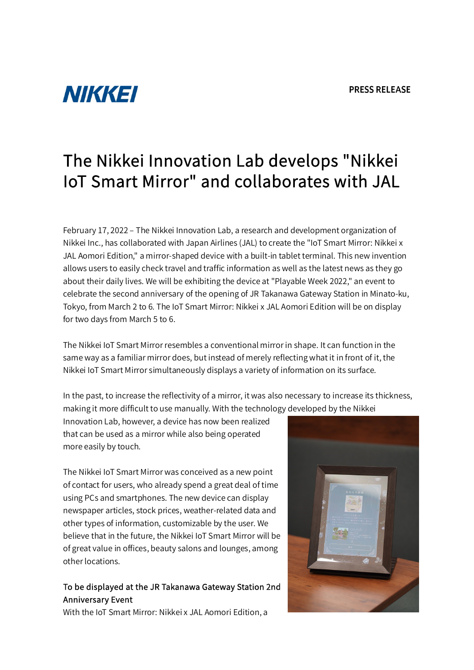# NIKKEI

## The Nikkei Innovation Lab develops "Nikkei IoT Smart Mirror" and collaborates with JAL

February 17, 2022 - The Nikkei Innovation Lab, a research and development organization of Nikkei Inc., has collaborated with Japan Airlines (JAL) to create the "IoT Smart Mirror: Nikkei x JAL Aomori Edition," a mirror-shaped device with a built-in tablet terminal. This new invention allows users to easily check travel and traffic information as well as the latest news as they go about their daily lives. We will be exhibiting the device at "Playable Week 2022," an event to celebrate the second anniversary of the opening of JR Takanawa Gateway Station in Minato-ku, Tokyo, from March 2 to 6. The IoT Smart Mirror: Nikkei x JAL Aomori Edition will be on display for two days from March 5 to 6.

The Nikkei IoT Smart Mirror resembles a conventional mirror in shape. It can function in the same way as a familiar mirror does, but instead of merely reflecting what it in front of it, the Nikkei IoT Smart Mirror simultaneously displays a variety of information on its surface.

In the past, to increase the reflectivity of a mirror, it was also necessary to increase its thickness, making it more difficult to use manually. With the technology developed by the Nikkei

Innovation Lab, however, a device has now been realized that can be used as a mirror while also being operated more easily by touch.

The Nikkei IoT Smart Mirror was conceived as a new point of contact for users, who already spend a great deal of time using PCs and smartphones. The new device can display newspaper articles, stock prices, weather-related data and other types of information, customizable by the user. We believe that in the future, the Nikkei IoT Smart Mirror will be of great value in offices, beauty salons and lounges, among other locations.

### To be displayed at the JR Takanawa Gateway Station 2nd Anniversary Event

With the IoT Smart Mirror: Nikkei x JAL Aomori Edition, a